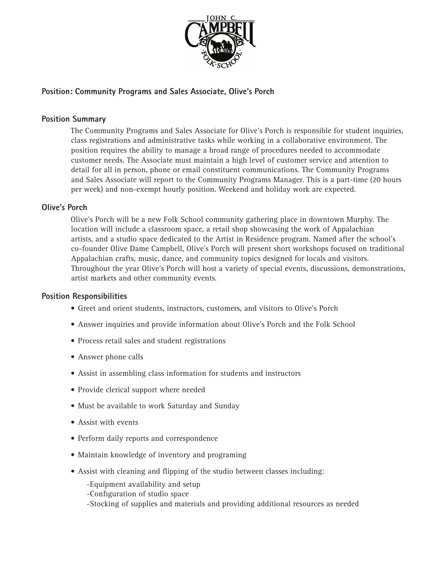

# **Position: Community Programs and Sales Associate, Olive's Porch**

### **Position Summary**

The Community Programs and Sales Associate for Olive's Porch is responsible for student inquiries, class registrations and administrative tasks while working in a collaborative environment. The position requires the ability to manage a broad range of procedures needed to accommodate customer needs. The Associate must maintain a high level of customer service and attention to detail for all in person, phone or email constituent communications. The Community Programs and Sales Associate will report to the Community Programs Manager. This is a part-time (20 hours per week) and non-exempt hourly position. Weekend and holiday work are expected.

## **Olive's Porch**

Olive's Porch will be a new Folk School community gathering place in downtown Murphy. The location will include a classroom space, a retail shop showcasing the work of Appalachian artists, and a studio space dedicated to the Artist in Residence program. Named after the school's co-founder Olive Dame Campbell, Olive's Porch will present short workshops focused on traditional Appalachian crafts, music, dance, and community topics designed for locals and visitors. Throughout the year Olive's Porch will host a variety of special events, discussions, demonstrations, artist markets and other community events.

#### **Position Responsibilities**

- Greet and orient students, instructors, customers, and visitors to Olive's Porch
- Answer inquiries and provide information about Olive's Porch and the Folk School
- Process retail sales and student registrations
- Answer phone calls
- Assist in assembling class information for students and instructors
- Provide clerical support where needed
- Must be available to work Saturday and Sunday
- Assist with events
- Perform daily reports and correspondence
- Maintain knowledge of inventory and programing
- Assist with cleaning and flipping of the studio between classes including:
	- -Equipment availability and setup
	- -Configuration of studio space
	- -Stocking of supplies and materials and providing additional resources as needed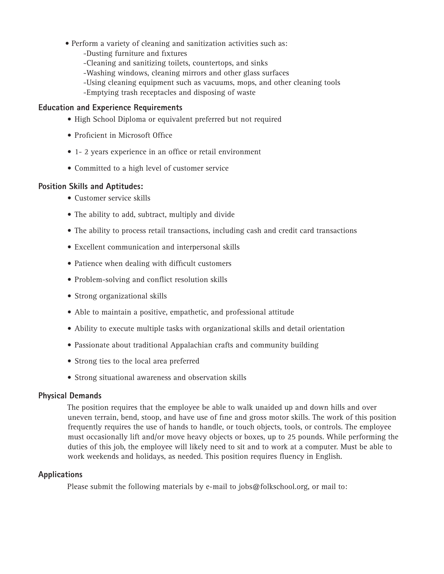- Perform a variety of cleaning and sanitization activities such as:
	- -Dusting furniture and fixtures
	- -Cleaning and sanitizing toilets, countertops, and sinks
	- -Washing windows, cleaning mirrors and other glass surfaces
	- -Using cleaning equipment such as vacuums, mops, and other cleaning tools
	- -Emptying trash receptacles and disposing of waste

#### **Education and Experience Requirements**

- High School Diploma or equivalent preferred but not required
- Proficient in Microsoft Office
- 1- 2 years experience in an office or retail environment
- Committed to a high level of customer service

#### **Position Skills and Aptitudes:**

- Customer service skills
- The ability to add, subtract, multiply and divide
- The ability to process retail transactions, including cash and credit card transactions
- Excellent communication and interpersonal skills
- Patience when dealing with difficult customers
- Problem-solving and conflict resolution skills
- Strong organizational skills
- Able to maintain a positive, empathetic, and professional attitude
- Ability to execute multiple tasks with organizational skills and detail orientation
- Passionate about traditional Appalachian crafts and community building
- Strong ties to the local area preferred
- Strong situational awareness and observation skills

#### **Physical Demands**

The position requires that the employee be able to walk unaided up and down hills and over uneven terrain, bend, stoop, and have use of fine and gross motor skills. The work of this position frequently requires the use of hands to handle, or touch objects, tools, or controls. The employee must occasionally lift and/or move heavy objects or boxes, up to 25 pounds. While performing the duties of this job, the employee will likely need to sit and to work at a computer. Must be able to work weekends and holidays, as needed. This position requires fluency in English.

#### **Applications**

Please submit the following materials by e-mail to jobs@folkschool.org, or mail to: